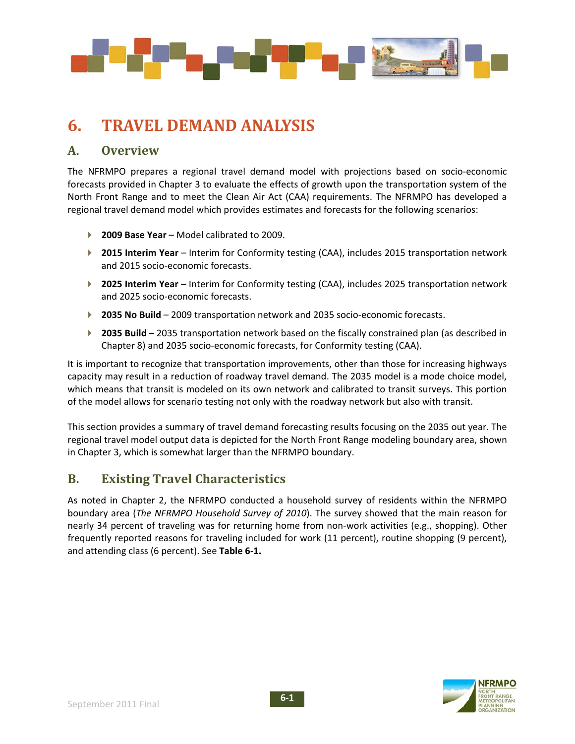

# **6. TRAVEL DEMAND ANALYSIS**

### **A. Overview**

The NFRMPO prepares a regional travel demand model with projections based on socio‐economic forecasts provided in Chapter 3 to evaluate the effects of growth upon the transportation system of the North Front Range and to meet the Clean Air Act (CAA) requirements. The NFRMPO has developed a regional travel demand model which provides estimates and forecasts for the following scenarios:

- **2009 Base Year** Model calibrated to 2009.
- **2015 Interim Year** Interim for Conformity testing (CAA), includes 2015 transportation network and 2015 socio‐economic forecasts.
- **2025 Interim Year** Interim for Conformity testing (CAA), includes 2025 transportation network and 2025 socio‐economic forecasts.
- **2035 No Build** 2009 transportation network and 2035 socio-economic forecasts.
- **2035 Build** 2035 transportation network based on the fiscally constrained plan (as described in Chapter 8) and 2035 socio‐economic forecasts, for Conformity testing (CAA).

It is important to recognize that transportation improvements, other than those for increasing highways capacity may result in a reduction of roadway travel demand. The 2035 model is a mode choice model, which means that transit is modeled on its own network and calibrated to transit surveys. This portion of the model allows for scenario testing not only with the roadway network but also with transit.

This section provides a summary of travel demand forecasting results focusing on the 2035 out year. The regional travel model output data is depicted for the North Front Range modeling boundary area, shown in Chapter 3, which is somewhat larger than the NFRMPO boundary.

# **B. Existing Travel Characteristics**

As noted in Chapter 2, the NFRMPO conducted a household survey of residents within the NFRMPO boundary area (*The NFRMPO Household Survey of 2010*). The survey showed that the main reason for nearly 34 percent of traveling was for returning home from non-work activities (e.g., shopping). Other frequently reported reasons for traveling included for work (11 percent), routine shopping (9 percent), and attending class (6 percent). See **Table 6‐1.**

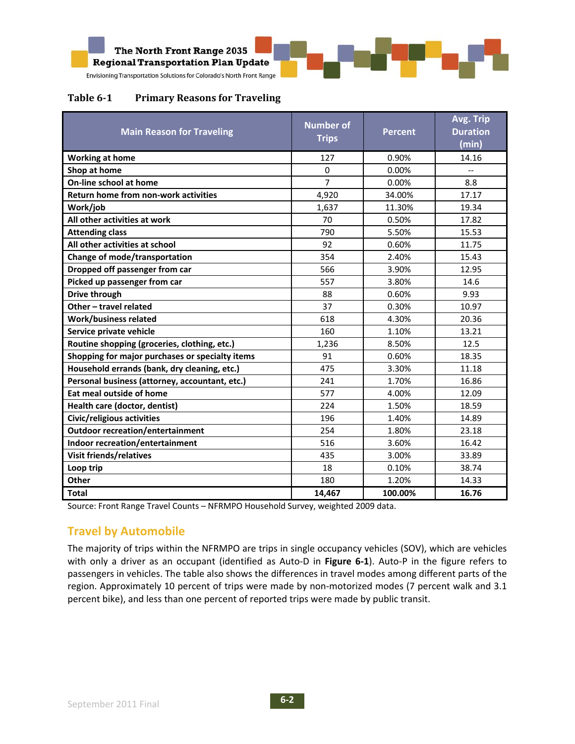

#### **Table 61 Primary Reasons for Traveling**

| <b>Main Reason for Traveling</b>                | <b>Number of</b><br><b>Trips</b> | <b>Percent</b> | Avg. Trip<br><b>Duration</b><br>(min) |
|-------------------------------------------------|----------------------------------|----------------|---------------------------------------|
| <b>Working at home</b>                          | 127                              | 0.90%          | 14.16                                 |
| Shop at home                                    | 0                                | 0.00%          |                                       |
| On-line school at home                          | $\overline{7}$                   | 0.00%          | 8.8                                   |
| Return home from non-work activities            | 4,920                            | 34.00%         | 17.17                                 |
| Work/job                                        | 1,637                            | 11.30%         | 19.34                                 |
| All other activities at work                    | 70                               | 0.50%          | 17.82                                 |
| <b>Attending class</b>                          | 790                              | 5.50%          | 15.53                                 |
| All other activities at school                  | 92                               | 0.60%          | 11.75                                 |
| Change of mode/transportation                   | 354                              | 2.40%          | 15.43                                 |
| Dropped off passenger from car                  | 566                              | 3.90%          | 12.95                                 |
| Picked up passenger from car                    | 557                              | 3.80%          | 14.6                                  |
| <b>Drive through</b>                            | 88                               | 0.60%          | 9.93                                  |
| Other - travel related                          | 37                               | 0.30%          | 10.97                                 |
| <b>Work/business related</b>                    | 618                              | 4.30%          | 20.36                                 |
| Service private vehicle                         | 160                              | 1.10%          | 13.21                                 |
| Routine shopping (groceries, clothing, etc.)    | 1,236                            | 8.50%          | 12.5                                  |
| Shopping for major purchases or specialty items | 91                               | 0.60%          | 18.35                                 |
| Household errands (bank, dry cleaning, etc.)    | 475                              | 3.30%          | 11.18                                 |
| Personal business (attorney, accountant, etc.)  | 241                              | 1.70%          | 16.86                                 |
| Eat meal outside of home                        | 577                              | 4.00%          | 12.09                                 |
| Health care (doctor, dentist)                   | 224                              | 1.50%          | 18.59                                 |
| Civic/religious activities                      | 196                              | 1.40%          | 14.89                                 |
| <b>Outdoor recreation/entertainment</b>         | 254                              | 1.80%          | 23.18                                 |
| Indoor recreation/entertainment                 | 516                              | 3.60%          | 16.42                                 |
| <b>Visit friends/relatives</b>                  | 435                              | 3.00%          | 33.89                                 |
| Loop trip                                       | 18                               | 0.10%          | 38.74                                 |
| Other                                           | 180                              | 1.20%          | 14.33                                 |
| <b>Total</b>                                    | 14,467                           | 100.00%        | 16.76                                 |

Source: Front Range Travel Counts – NFRMPO Household Survey, weighted 2009 data.

## **Travel by Automobile**

The majority of trips within the NFRMPO are trips in single occupancy vehicles (SOV), which are vehicles with only a driver as an occupant (identified as Auto‐D in **Figure 6‐1**). Auto‐P in the figure refers to passengers in vehicles. The table also shows the differences in travel modes among different parts of the region. Approximately 10 percent of trips were made by non-motorized modes (7 percent walk and 3.1 percent bike), and less than one percent of reported trips were made by public transit.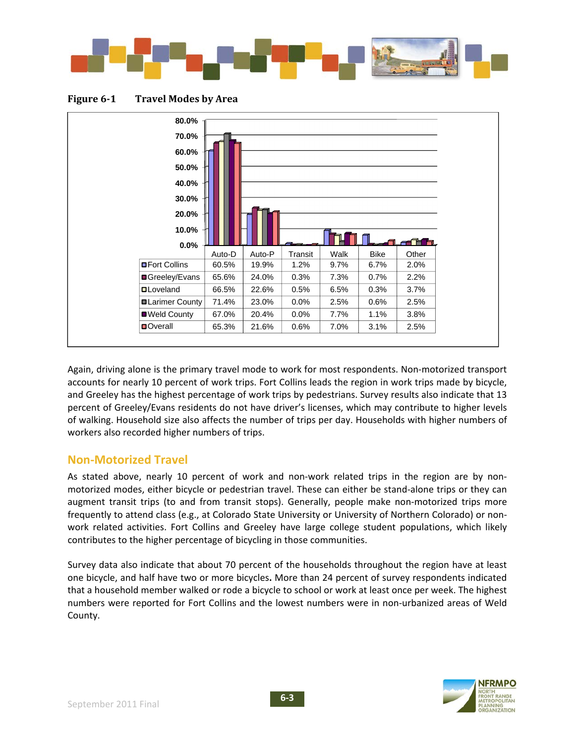

**Figure 61 Travel Modes by Area** 



Again, driving alone is the primary travel mode to work for most respondents. Non-motorized transport accounts for nearly 10 percent of work trips. Fort Collins leads the region in work trips made by bicycle, and Greeley has the highest percentage of work trips by pedestrians. Survey results also indicate that 13 percent of Greeley/Evans residents do not have driver's licenses, which may contribute to higher levels of walking. Household size also affects the number of trips per day. Households with higher numbers of workers also recorded higher numbers of trips.

## **Non‐Motorized Travel**

As stated above, nearly 10 percent of work and non-work related trips in the region are by nonmotorized modes, either bicycle or pedestrian travel. These can either be stand‐alone trips or they can augment transit trips (to and from transit stops). Generally, people make non-motorized trips more frequently to attend class (e.g., at Colorado State University or University of Northern Colorado) or non‐ work related activities. Fort Collins and Greeley have large college student populations, which likely contributes to the higher percentage of bicycling in those communities.

Survey data also indicate that about 70 percent of the households throughout the region have at least one bicycle, and half have two or more bicycles**.** More than 24 percent of survey respondents indicated that a household member walked or rode a bicycle to school or work at least once per week. The highest numbers were reported for Fort Collins and the lowest numbers were in non-urbanized areas of Weld County.

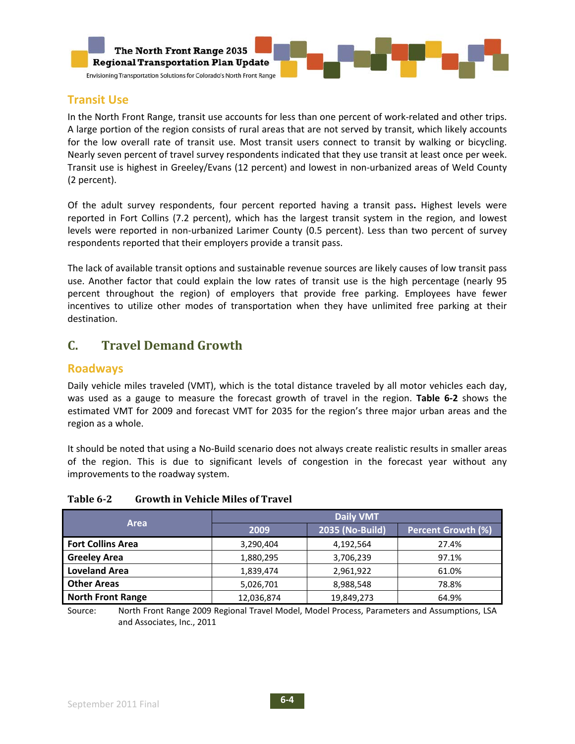

#### **Transit Use**

In the North Front Range, transit use accounts for less than one percent of work‐related and other trips. A large portion of the region consists of rural areas that are not served by transit, which likely accounts for the low overall rate of transit use. Most transit users connect to transit by walking or bicycling. Nearly seven percent of travel survey respondents indicated that they use transit at least once per week. Transit use is highest in Greeley/Evans (12 percent) and lowest in non‐urbanized areas of Weld County (2 percent).

Of the adult survey respondents, four percent reported having a transit pass**.** Highest levels were reported in Fort Collins (7.2 percent), which has the largest transit system in the region, and lowest levels were reported in non‐urbanized Larimer County (0.5 percent). Less than two percent of survey respondents reported that their employers provide a transit pass.

The lack of available transit options and sustainable revenue sources are likely causes of low transit pass use. Another factor that could explain the low rates of transit use is the high percentage (nearly 95 percent throughout the region) of employers that provide free parking. Employees have fewer incentives to utilize other modes of transportation when they have unlimited free parking at their destination.

# **C. Travel Demand Growth**

#### **Roadways**

Daily vehicle miles traveled (VMT), which is the total distance traveled by all motor vehicles each day, was used as a gauge to measure the forecast growth of travel in the region. **Table 6‐2** shows the estimated VMT for 2009 and forecast VMT for 2035 for the region's three major urban areas and the region as a whole.

It should be noted that using a No‐Build scenario does not always create realistic results in smaller areas of the region. This is due to significant levels of congestion in the forecast year without any improvements to the roadway system.

| <b>Growth in Vehicle Miles of Travel</b><br>Table 6-2 |  |
|-------------------------------------------------------|--|
|-------------------------------------------------------|--|

|                          | <b>Daily VMT</b> |                 |                           |  |
|--------------------------|------------------|-----------------|---------------------------|--|
| Area                     | 2009             | 2035 (No-Build) | <b>Percent Growth (%)</b> |  |
| <b>Fort Collins Area</b> | 3,290,404        | 4,192,564       | 27.4%                     |  |
| <b>Greeley Area</b>      | 1,880,295        | 3,706,239       | 97.1%                     |  |
| <b>Loveland Area</b>     | 1,839,474        | 2,961,922       | 61.0%                     |  |
| <b>Other Areas</b>       | 5,026,701        | 8,988,548       | 78.8%                     |  |
| <b>North Front Range</b> | 12,036,874       | 19,849,273      | 64.9%                     |  |

Source: North Front Range 2009 Regional Travel Model, Model Process, Parameters and Assumptions, LSA and Associates, Inc., 2011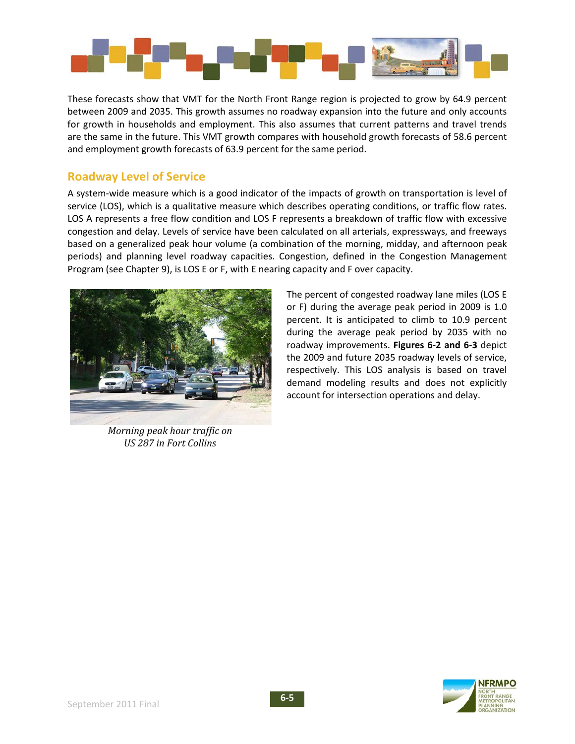

These forecasts show that VMT for the North Front Range region is projected to grow by 64.9 percent between 2009 and 2035. This growth assumes no roadway expansion into the future and only accounts for growth in households and employment. This also assumes that current patterns and travel trends are the same in the future. This VMT growth compares with household growth forecasts of 58.6 percent and employment growth forecasts of 63.9 percent for the same period.

#### **Roadway Level of Service**

A system-wide measure which is a good indicator of the impacts of growth on transportation is level of service (LOS), which is a qualitative measure which describes operating conditions, or traffic flow rates. LOS A represents a free flow condition and LOS F represents a breakdown of traffic flow with excessive congestion and delay. Levels of service have been calculated on all arterials, expressways, and freeways based on a generalized peak hour volume (a combination of the morning, midday, and afternoon peak periods) and planning level roadway capacities. Congestion, defined in the Congestion Management Program (see Chapter 9), is LOS E or F, with E nearing capacity and F over capacity.



*Morning peak hour traffic on US 287 in Fort Collins*

The percent of congested roadway lane miles (LOS E or F) during the average peak period in 2009 is 1.0 percent. It is anticipated to climb to 10.9 percent during the average peak period by 2035 with no roadway improvements. **Figures 6‐2 and 6‐3** depict the 2009 and future 2035 roadway levels of service, respectively. This LOS analysis is based on travel demand modeling results and does not explicitly account for intersection operations and delay.

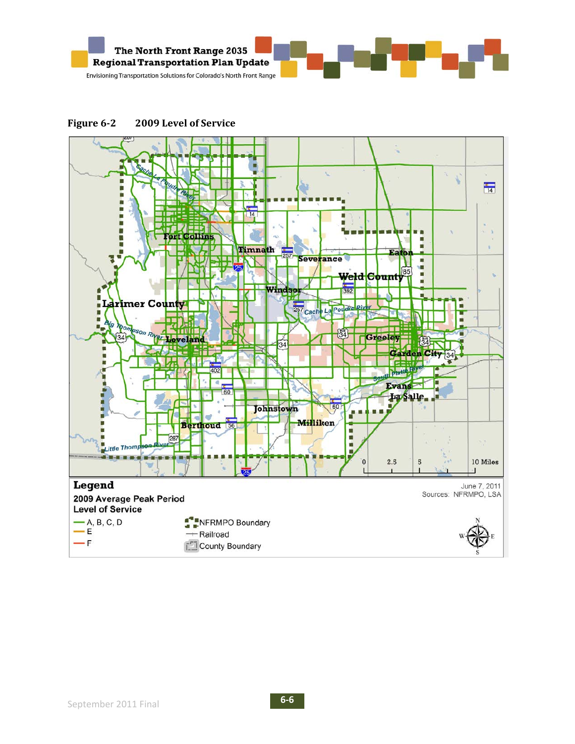



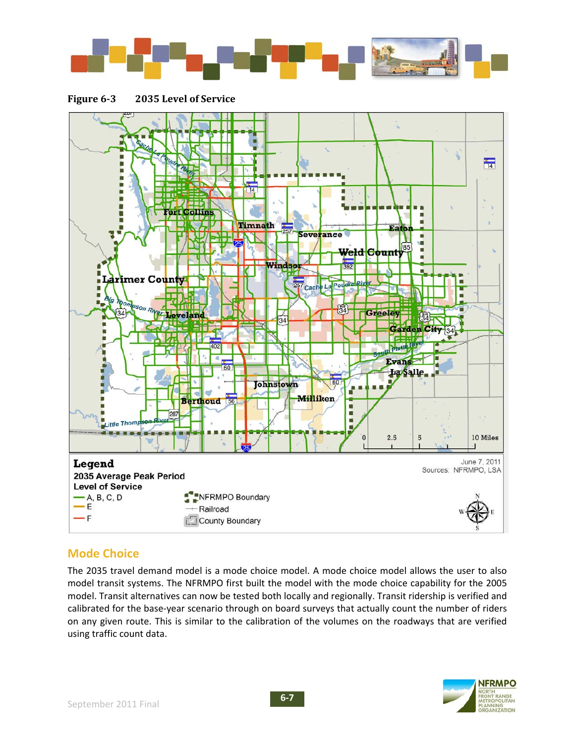





# **Mode Choice**

The 2035 travel demand model is a mode choice model. A mode choice model allows the user to also model transit systems. The NFRMPO first built the model with the mode choice capability for the 2005 model. Transit alternatives can now be tested both locally and regionally. Transit ridership is verified and calibrated for the base‐year scenario through on board surveys that actually count the number of riders on any given route. This is similar to the calibration of the volumes on the roadways that are verified using traffic count data.

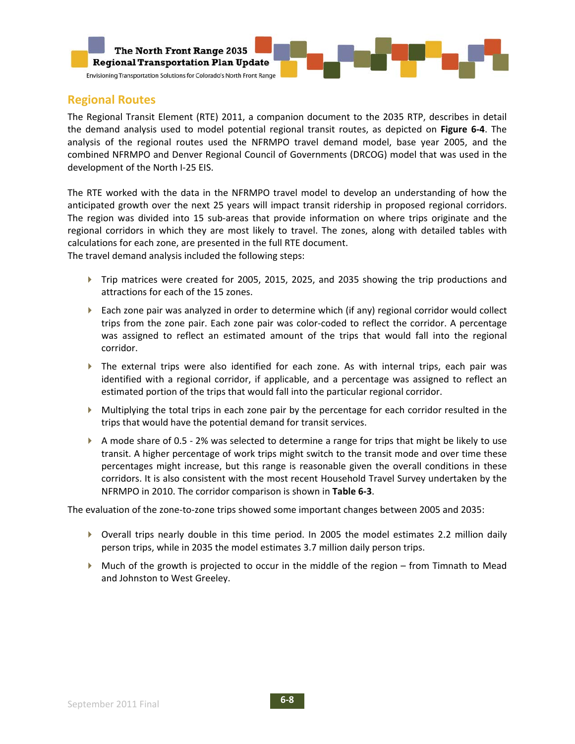

### **Regional Routes**

The Regional Transit Element (RTE) 2011, a companion document to the 2035 RTP, describes in detail the demand analysis used to model potential regional transit routes, as depicted on **Figure 6‐4**. The analysis of the regional routes used the NFRMPO travel demand model, base year 2005, and the combined NFRMPO and Denver Regional Council of Governments (DRCOG) model that was used in the development of the North I‐25 EIS.

The RTE worked with the data in the NFRMPO travel model to develop an understanding of how the anticipated growth over the next 25 years will impact transit ridership in proposed regional corridors. The region was divided into 15 sub-areas that provide information on where trips originate and the regional corridors in which they are most likely to travel. The zones, along with detailed tables with calculations for each zone, are presented in the full RTE document.

The travel demand analysis included the following steps:

- ▶ Trip matrices were created for 2005, 2015, 2025, and 2035 showing the trip productions and attractions for each of the 15 zones.
- Each zone pair was analyzed in order to determine which (if any) regional corridor would collect trips from the zone pair. Each zone pair was color‐coded to reflect the corridor. A percentage was assigned to reflect an estimated amount of the trips that would fall into the regional corridor.
- The external trips were also identified for each zone. As with internal trips, each pair was identified with a regional corridor, if applicable, and a percentage was assigned to reflect an estimated portion of the trips that would fall into the particular regional corridor.
- Multiplying the total trips in each zone pair by the percentage for each corridor resulted in the trips that would have the potential demand for transit services.
- $\blacktriangleright$  A mode share of 0.5 2% was selected to determine a range for trips that might be likely to use transit. A higher percentage of work trips might switch to the transit mode and over time these percentages might increase, but this range is reasonable given the overall conditions in these corridors. It is also consistent with the most recent Household Travel Survey undertaken by the NFRMPO in 2010. The corridor comparison is shown in **Table 6‐3**.

The evaluation of the zone-to-zone trips showed some important changes between 2005 and 2035:

- Overall trips nearly double in this time period. In 2005 the model estimates 2.2 million daily person trips, while in 2035 the model estimates 3.7 million daily person trips.
- Much of the growth is projected to occur in the middle of the region from Timnath to Mead and Johnston to West Greeley.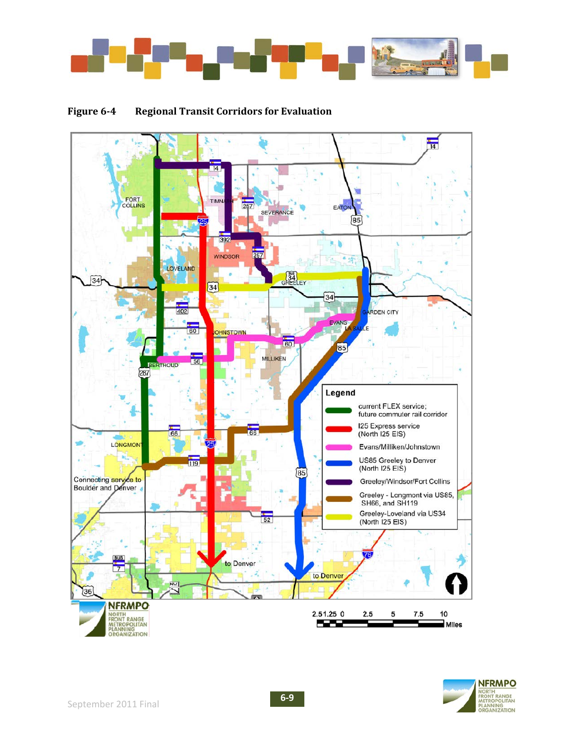

#### **Figure 64 Regional Transit Corridors for Evaluation**



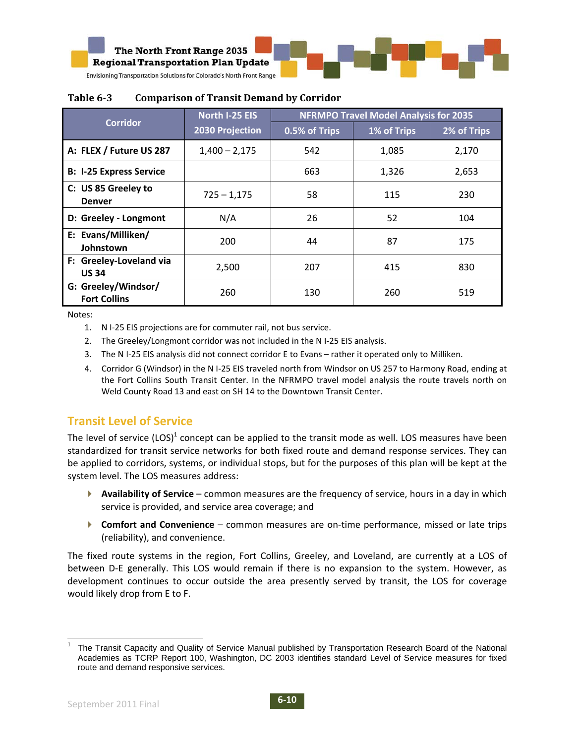

|                                            | North I-25 EIS  | <b>NFRMPO Travel Model Analysis for 2035</b> |             |             |
|--------------------------------------------|-----------------|----------------------------------------------|-------------|-------------|
| <b>Corridor</b>                            | 2030 Projection | 0.5% of Trips                                | 1% of Trips | 2% of Trips |
| A: FLEX / Future US 287                    | $1,400 - 2,175$ | 542                                          | 1,085       | 2,170       |
| <b>B: I-25 Express Service</b>             |                 | 663                                          | 1,326       | 2,653       |
| C: US 85 Greeley to<br><b>Denver</b>       | $725 - 1,175$   | 58                                           | 115         | 230         |
| D: Greeley - Longmont                      | N/A             | 26                                           | 52          | 104         |
| E: Evans/Milliken/<br>Johnstown            | 200             | 44                                           | 87          | 175         |
| F: Greeley-Loveland via<br><b>US 34</b>    | 2,500           | 207                                          | 415         | 830         |
| G: Greeley/Windsor/<br><b>Fort Collins</b> | 260             | 130                                          | 260         | 519         |

#### **Table 63 Comparison of Transit Demand by Corridor**

Notes:

- 1. N I‐25 EIS projections are for commuter rail, not bus service.
- 2. The Greeley/Longmont corridor was not included in the N I-25 EIS analysis.
- 3. The N I‐25 EIS analysis did not connect corridor E to Evans rather it operated only to Milliken.
- 4. Corridor G (Windsor) in the N I‐25 EIS traveled north from Windsor on US 257 to Harmony Road, ending at the Fort Collins South Transit Center. In the NFRMPO travel model analysis the route travels north on Weld County Road 13 and east on SH 14 to the Downtown Transit Center.

## **Transit Level of Service**

The level of service  $(LOS)^1$  concept can be applied to the transit mode as well. LOS measures have been standardized for transit service networks for both fixed route and demand response services. They can be applied to corridors, systems, or individual stops, but for the purposes of this plan will be kept at the system level. The LOS measures address:

- **Availability of Service** common measures are the frequency of service, hours in a day in which service is provided, and service area coverage; and
- **EXCOMFORT AND CONVENIENCE** common measures are on-time performance, missed or late trips (reliability), and convenience.

The fixed route systems in the region, Fort Collins, Greeley, and Loveland, are currently at a LOS of between D-E generally. This LOS would remain if there is no expansion to the system. However, as development continues to occur outside the area presently served by transit, the LOS for coverage would likely drop from E to F.

 <sup>1</sup> The Transit Capacity and Quality of Service Manual published by Transportation Research Board of the National Academies as TCRP Report 100, Washington, DC 2003 identifies standard Level of Service measures for fixed route and demand responsive services.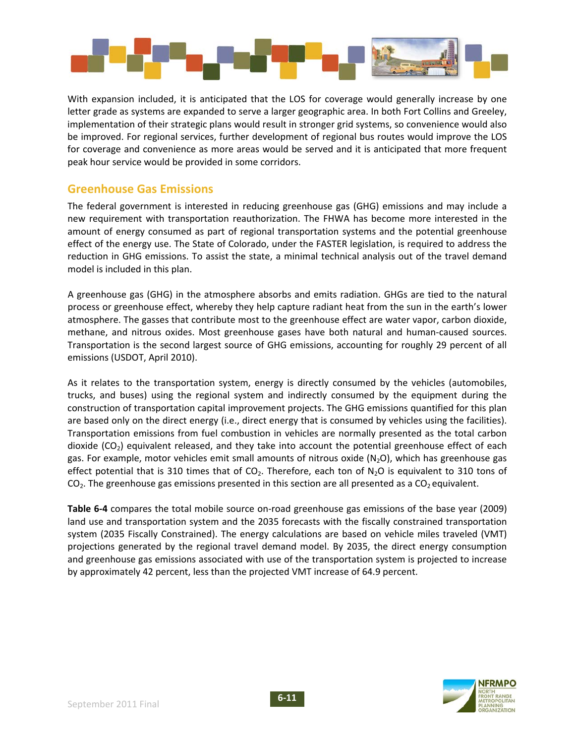

With expansion included, it is anticipated that the LOS for coverage would generally increase by one letter grade as systems are expanded to serve a larger geographic area. In both Fort Collins and Greeley, implementation of their strategic plans would result in stronger grid systems, so convenience would also be improved. For regional services, further development of regional bus routes would improve the LOS for coverage and convenience as more areas would be served and it is anticipated that more frequent peak hour service would be provided in some corridors.

#### **Greenhouse Gas Emissions**

The federal government is interested in reducing greenhouse gas (GHG) emissions and may include a new requirement with transportation reauthorization. The FHWA has become more interested in the amount of energy consumed as part of regional transportation systems and the potential greenhouse effect of the energy use. The State of Colorado, under the FASTER legislation, is required to address the reduction in GHG emissions. To assist the state, a minimal technical analysis out of the travel demand model is included in this plan.

A greenhouse gas (GHG) in the atmosphere absorbs and emits radiation. GHGs are tied to the natural process or greenhouse effect, whereby they help capture radiant heat from the sun in the earth's lower atmosphere. The gasses that contribute most to the greenhouse effect are water vapor, carbon dioxide, methane, and nitrous oxides. Most greenhouse gases have both natural and human‐caused sources. Transportation is the second largest source of GHG emissions, accounting for roughly 29 percent of all emissions (USDOT, April 2010).

As it relates to the transportation system, energy is directly consumed by the vehicles (automobiles, trucks, and buses) using the regional system and indirectly consumed by the equipment during the construction of transportation capital improvement projects. The GHG emissions quantified for this plan are based only on the direct energy (i.e., direct energy that is consumed by vehicles using the facilities). Transportation emissions from fuel combustion in vehicles are normally presented as the total carbon dioxide  $(CO_2)$  equivalent released, and they take into account the potential greenhouse effect of each gas. For example, motor vehicles emit small amounts of nitrous oxide  $(N_2O)$ , which has greenhouse gas effect potential that is 310 times that of  $CO<sub>2</sub>$ . Therefore, each ton of N<sub>2</sub>O is equivalent to 310 tons of  $CO<sub>2</sub>$ . The greenhouse gas emissions presented in this section are all presented as a  $CO<sub>2</sub>$  equivalent.

**Table 6‐4** compares the total mobile source on‐road greenhouse gas emissions of the base year (2009) land use and transportation system and the 2035 forecasts with the fiscally constrained transportation system (2035 Fiscally Constrained). The energy calculations are based on vehicle miles traveled (VMT) projections generated by the regional travel demand model. By 2035, the direct energy consumption and greenhouse gas emissions associated with use of the transportation system is projected to increase by approximately 42 percent, less than the projected VMT increase of 64.9 percent.